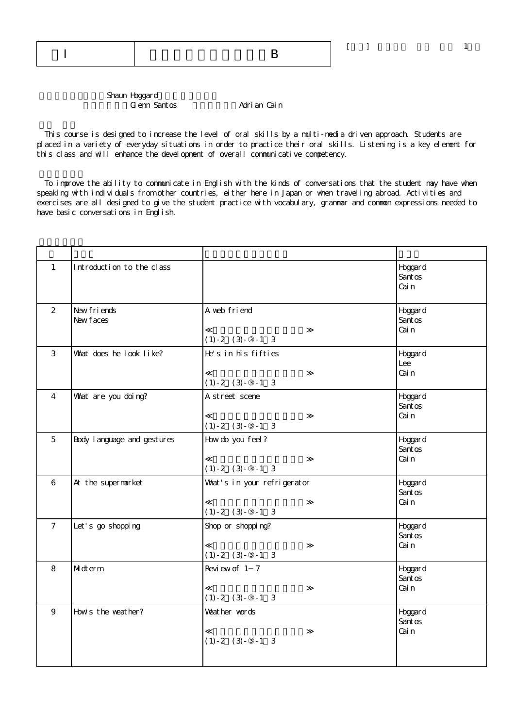Shaun Hoggard Glenn Santos Marian Cain

 This course is designed to increase the level of oral skills by a multi-media driven approach. Students are placed in a variety of everyday situations in order to practice their oral skills. Listening is a key element for this class and will enhance the development of overall communicative competency.

 To improve the ability to communicate in English with the kinds of conversations that the student may have when speaking with individuals from other countries, either here in Japan or when traveling abroad. Activities and exercises are all designed to give the student practice with vocabulary, grammar and common expressions needed to have basic conversations in English.

| $\mathbf{1}$    | Introduction to the class   |                                                     | Hoggard<br>Santos<br>Cai n  |
|-----------------|-----------------------------|-----------------------------------------------------|-----------------------------|
| 2               | New friends<br>New faces    | A web friend<br>$(1) - 2 (3) - -1 3$                | Hoggard<br>Santos<br>Cai n  |
| 3               | What does he look like?     | He's in his fifties<br>$(1) - 2 (3) - -1 3$         | Hoggard<br>Lee<br>Cai n     |
| $\overline{4}$  | What are you doing?         | A street scene<br>$(1) - 2 (3) - -1 3$              | Hoggar d<br>Santos<br>Cai n |
| 5               | Body I anguage and gestures | How do you feel?<br>$(1) - 2 (3) - -1 3$            | Hoggard<br>Santos<br>Cai n  |
| 6               | At the supermarket          | What's in your refrigerator<br>$(1) - 2 (3) - -1 3$ | Hoggard<br>Santos<br>Cai n  |
| $7\overline{ }$ | Let's go shopping           | Shop or shopping?<br>$(1) - 2 (3) - -1 3$           | Hoggard<br>Santos<br>Cai n  |
| 8               | Midterm                     | Review of 1 7<br>$(1) - 2 (3) - -1 3$               | Hoggard<br>Santos<br>Cai n  |
| 9               | How's the weather?          | Weather words<br>$(1) - 2 (3) - -1 3$               | Hoggard<br>Santos<br>Cai n  |